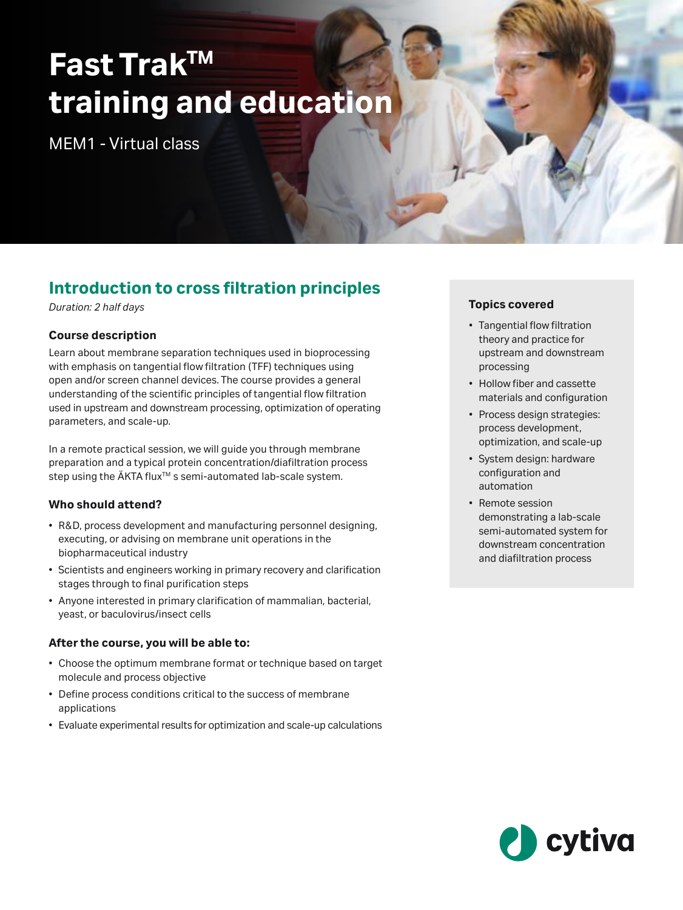# **Fast TrakTM training and education**

MEM1 - Virtual class

# **Introduction to cross filtration principles**

*Duration: 2 half days*

# **Course description**

Learn about membrane separation techniques used in bioprocessing with emphasis on tangential flow filtration (TFF) techniques using open and/or screen channel devices. The course provides a general understanding of the scientific principles of tangential flow filtration used in upstream and downstream processing, optimization of operating parameters, and scale-up.

In a remote practical session, we will guide you through membrane preparation and a typical protein concentration/diafiltration process step using the ÄKTA flux<sup>™</sup>s semi-automated lab-scale system.

# **Who should attend?**

- R&D, process development and manufacturing personnel designing, executing, or advising on membrane unit operations in the biopharmaceutical industry
- Scientists and engineers working in primary recovery and clarification stages through to final purification steps
- Anyone interested in primary clarification of mammalian, bacterial, yeast, or baculovirus/insect cells

# **After the course, you will be able to:**

- Choose the optimum membrane format or technique based on target molecule and process objective
- Define process conditions critical to the success of membrane applications
- Evaluate experimental results for optimization and scale-up calculations

## **Topics covered**

- Tangential flow filtration theory and practice for upstream and downstream processing
- Hollow fiber and cassette materials and configuration
- Process design strategies: process development, optimization, and scale-up
- System design: hardware configuration and automation
- Remote session demonstrating a lab-scale semi-automated system for downstream concentration and diafiltration process